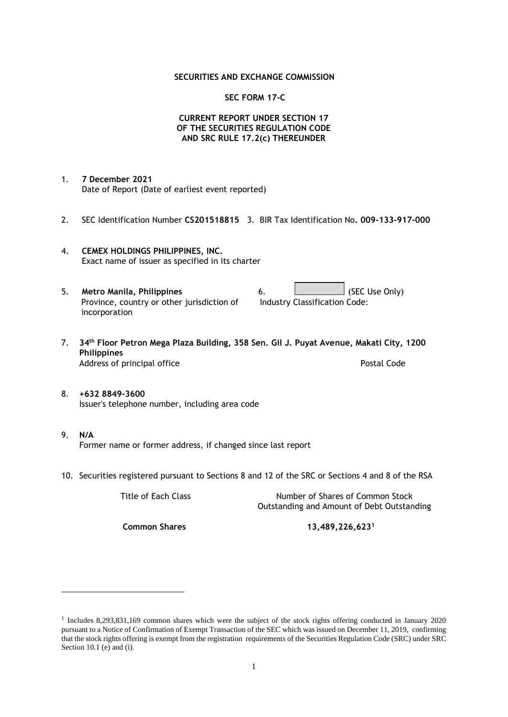## **SECURITIES AND EXCHANGE COMMISSION**

## **SEC FORM 17-C**

## **CURRENT REPORT UNDER SECTION 17 OF THE SECURITIES REGULATION CODE AND SRC RULE 17.2(c) THEREUNDER**

- 1. **7 December 2021** Date of Report (Date of earliest event reported)
- 2. SEC Identification Number **CS201518815** 3. BIR Tax Identification No**. 009-133-917-000**
- 4. **CEMEX HOLDINGS PHILIPPINES, INC.** Exact name of issuer as specified in its charter
- 5. **Metro Manila, Philippines** 6. **Consumers 6.** (SEC Use Only) Province, country or other jurisdiction of incorporation Industry Classification Code:
- 7. **34th Floor Petron Mega Plaza Building, 358 Sen. Gil J. Puyat Avenue, Makati City, 1200 Philippines** Address of principal office **Postal Code** Postal Code
- 8. **+632 8849-3600** Issuer's telephone number, including area code
- 9. **N/A** Former name or former address, if changed since last report
- 10. Securities registered pursuant to Sections 8 and 12 of the SRC or Sections 4 and 8 of the RSA

Title of Each Class Number of Shares of Common Stock Outstanding and Amount of Debt Outstanding

**Common Shares 13,489,226,623<sup>1</sup>**

<sup>1</sup> Includes 8,293,831,169 common shares which were the subject of the stock rights offering conducted in January 2020 pursuant to a Notice of Confirmation of Exempt Transaction of the SEC which was issued on December 11, 2019, confirming that the stock rights offering is exempt from the registration requirements of the Securities Regulation Code (SRC) under SRC Section 10.1 (e) and (i).